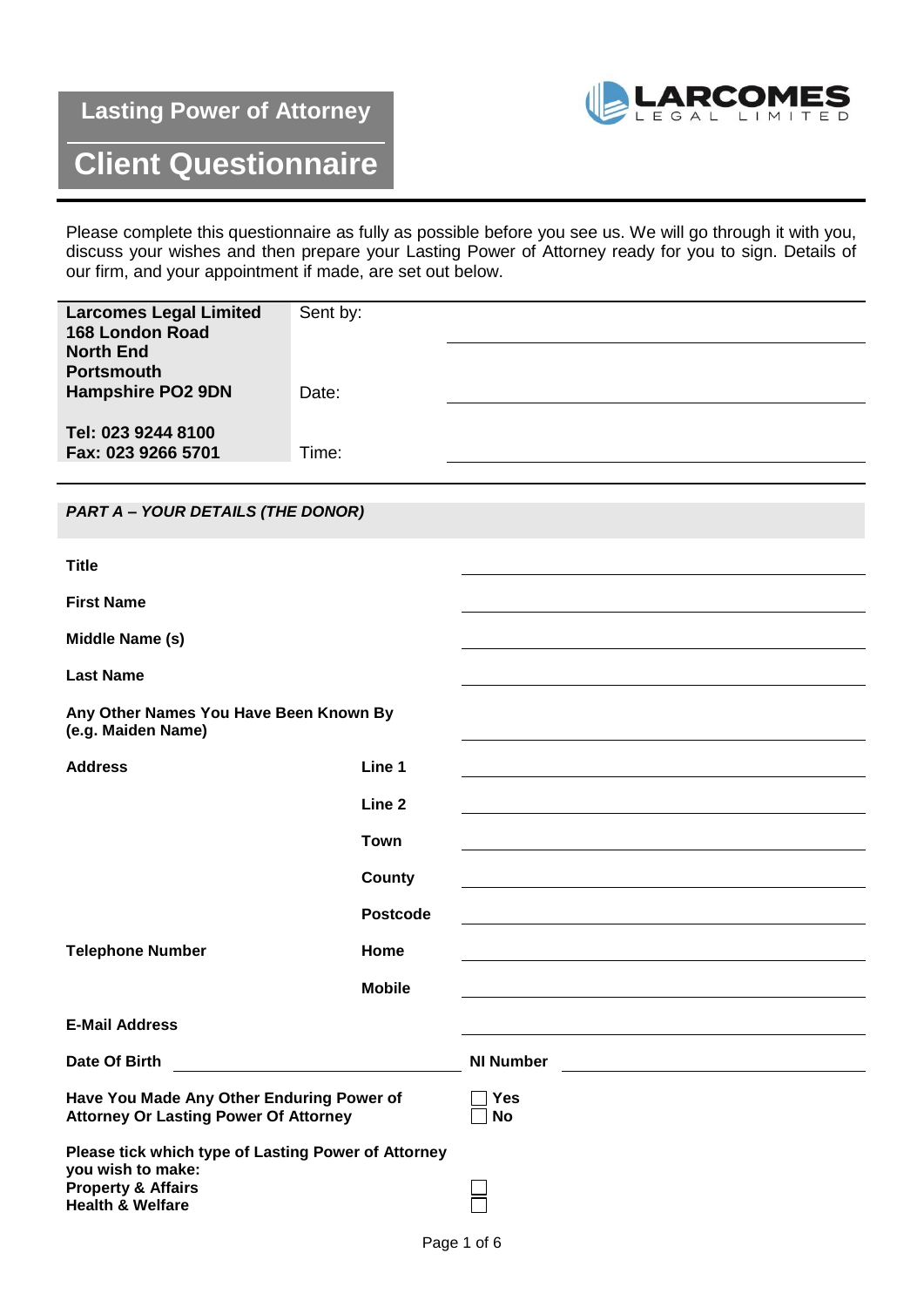## **Lasting Power of Attorney**



## **Client Questionnaire**

Please complete this questionnaire as fully as possible before you see us. We will go through it with you, discuss your wishes and then prepare your Lasting Power of Attorney ready for you to sign. Details of our firm, and your appointment if made, are set out below.

| <b>Larcomes Legal Limited</b><br>168 London Road                                                                                         | Sent by:          |                         |
|------------------------------------------------------------------------------------------------------------------------------------------|-------------------|-------------------------|
| <b>North End</b><br><b>Portsmouth</b><br><b>Hampshire PO2 9DN</b>                                                                        | Date:             |                         |
|                                                                                                                                          |                   |                         |
| Tel: 023 9244 8100<br>Fax: 023 9266 5701                                                                                                 | Time:             |                         |
|                                                                                                                                          |                   |                         |
| <b>PART A - YOUR DETAILS (THE DONOR)</b>                                                                                                 |                   |                         |
| <b>Title</b>                                                                                                                             |                   |                         |
| <b>First Name</b>                                                                                                                        |                   |                         |
| Middle Name (s)                                                                                                                          |                   |                         |
| <b>Last Name</b>                                                                                                                         |                   |                         |
| Any Other Names You Have Been Known By<br>(e.g. Maiden Name)                                                                             |                   |                         |
| <b>Address</b>                                                                                                                           | Line 1            |                         |
|                                                                                                                                          | Line <sub>2</sub> |                         |
|                                                                                                                                          | <b>Town</b>       |                         |
|                                                                                                                                          | <b>County</b>     |                         |
|                                                                                                                                          | <b>Postcode</b>   |                         |
| <b>Telephone Number</b>                                                                                                                  | Home              |                         |
|                                                                                                                                          | <b>Mobile</b>     |                         |
| <b>E-Mail Address</b>                                                                                                                    |                   |                         |
| Date Of Birth                                                                                                                            |                   | <b>NI Number</b>        |
| Have You Made Any Other Enduring Power of<br><b>Attorney Or Lasting Power Of Attorney</b>                                                |                   | <b>Yes</b><br><b>No</b> |
| Please tick which type of Lasting Power of Attorney<br>you wish to make:<br><b>Property &amp; Affairs</b><br><b>Health &amp; Welfare</b> |                   |                         |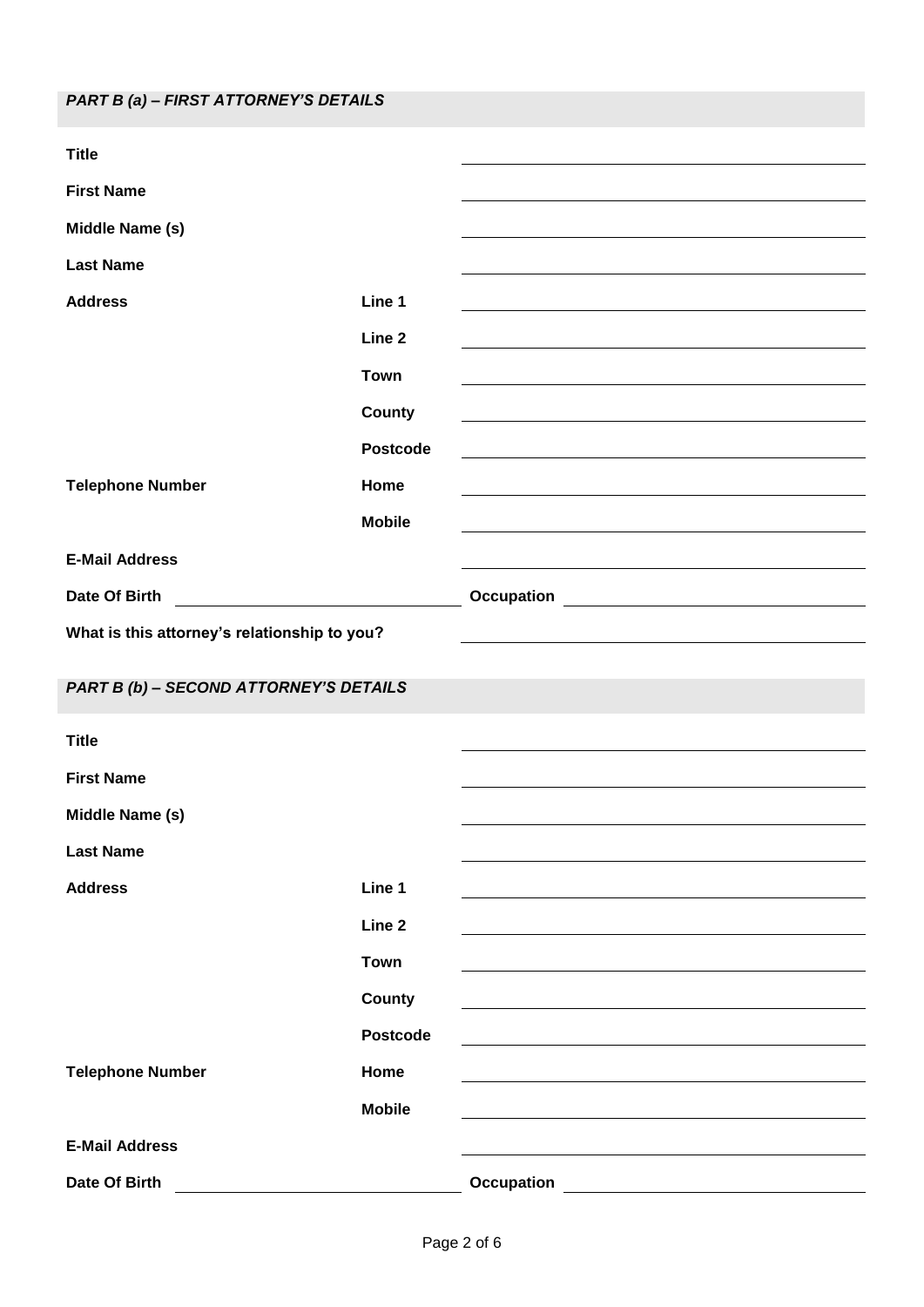| <b>Title</b>                                 |                 |                                                                 |
|----------------------------------------------|-----------------|-----------------------------------------------------------------|
| <b>First Name</b>                            |                 |                                                                 |
| Middle Name (s)                              |                 |                                                                 |
| <b>Last Name</b>                             |                 |                                                                 |
| <b>Address</b>                               | Line 1          |                                                                 |
|                                              | Line 2          |                                                                 |
|                                              | <b>Town</b>     |                                                                 |
|                                              | County          |                                                                 |
|                                              | <b>Postcode</b> |                                                                 |
| <b>Telephone Number</b>                      | Home            |                                                                 |
|                                              | <b>Mobile</b>   |                                                                 |
| <b>E-Mail Address</b>                        |                 |                                                                 |
| Date Of Birth                                |                 | <b>Occupation CONSUMING THE CONSUMING THE CONSUMING TENSION</b> |
| What is this attorney's relationship to you? |                 |                                                                 |
|                                              |                 |                                                                 |
| PART B (b) - SECOND ATTORNEY'S DETAILS       |                 |                                                                 |
| <b>Title</b>                                 |                 |                                                                 |
| <b>First Name</b>                            |                 |                                                                 |
| Middle Name (s)                              |                 |                                                                 |
| <b>Last Name</b>                             |                 |                                                                 |
| <b>Address</b>                               | Line 1          |                                                                 |
|                                              | Line 2          |                                                                 |
|                                              | <b>Town</b>     |                                                                 |
|                                              | County          |                                                                 |
|                                              | <b>Postcode</b> |                                                                 |
| <b>Telephone Number</b>                      | Home            |                                                                 |
|                                              | <b>Mobile</b>   |                                                                 |
| <b>E-Mail Address</b>                        |                 |                                                                 |
| Date Of Birth                                |                 | <b>Occupation</b>                                               |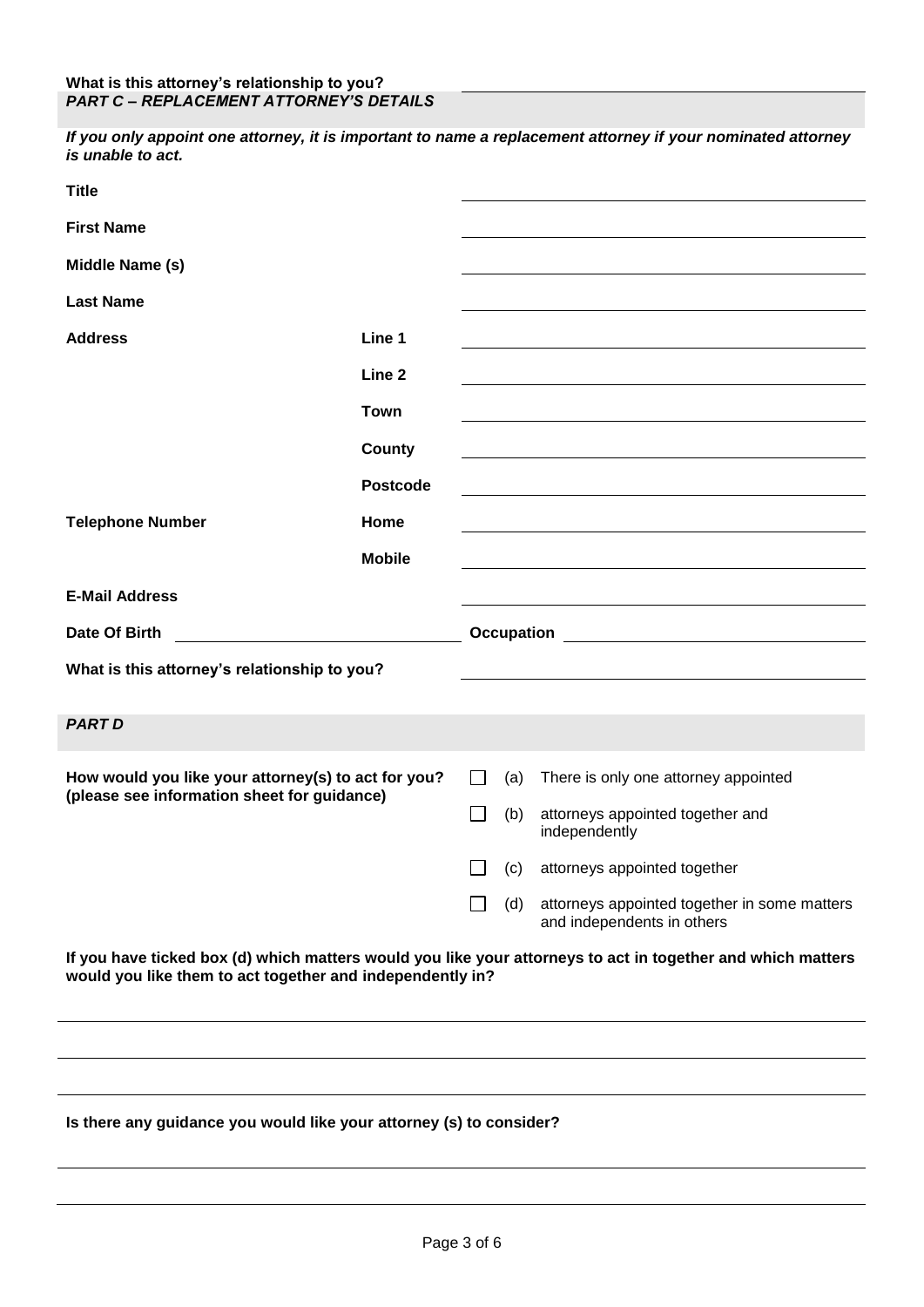*If you only appoint one attorney, it is important to name a replacement attorney if your nominated attorney is unable to act.*

| <b>Title</b>                                                                                                                                                             |                 |               |     |                                                                            |
|--------------------------------------------------------------------------------------------------------------------------------------------------------------------------|-----------------|---------------|-----|----------------------------------------------------------------------------|
| <b>First Name</b>                                                                                                                                                        |                 |               |     |                                                                            |
| Middle Name (s)                                                                                                                                                          |                 |               |     |                                                                            |
| <b>Last Name</b>                                                                                                                                                         |                 |               |     |                                                                            |
| <b>Address</b>                                                                                                                                                           | Line 1          |               |     |                                                                            |
|                                                                                                                                                                          | Line 2          |               |     |                                                                            |
|                                                                                                                                                                          | <b>Town</b>     |               |     |                                                                            |
|                                                                                                                                                                          | County          |               |     |                                                                            |
|                                                                                                                                                                          | <b>Postcode</b> |               |     |                                                                            |
| <b>Telephone Number</b>                                                                                                                                                  | Home            |               |     |                                                                            |
|                                                                                                                                                                          | <b>Mobile</b>   |               |     |                                                                            |
| <b>E-Mail Address</b>                                                                                                                                                    |                 |               |     |                                                                            |
| Date Of Birth                                                                                                                                                            |                 |               |     |                                                                            |
| What is this attorney's relationship to you?                                                                                                                             |                 |               |     |                                                                            |
| <b>PART D</b>                                                                                                                                                            |                 |               |     |                                                                            |
|                                                                                                                                                                          |                 |               |     |                                                                            |
| How would you like your attorney(s) to act for you?<br>(please see information sheet for guidance)                                                                       |                 | $\mathsf{L}$  | (a) | There is only one attorney appointed                                       |
|                                                                                                                                                                          |                 | $\mathcal{L}$ | (b) | attorneys appointed together and<br>independently                          |
|                                                                                                                                                                          |                 |               | (c) | attorneys appointed together                                               |
|                                                                                                                                                                          |                 |               | (d) | attorneys appointed together in some matters<br>and independents in others |
| If you have ticked box (d) which matters would you like your attorneys to act in together and which matters<br>would you like them to act together and independently in? |                 |               |     |                                                                            |
|                                                                                                                                                                          |                 |               |     |                                                                            |
|                                                                                                                                                                          |                 |               |     |                                                                            |
| Is there any guidance you would like your attorney (s) to consider?                                                                                                      |                 |               |     |                                                                            |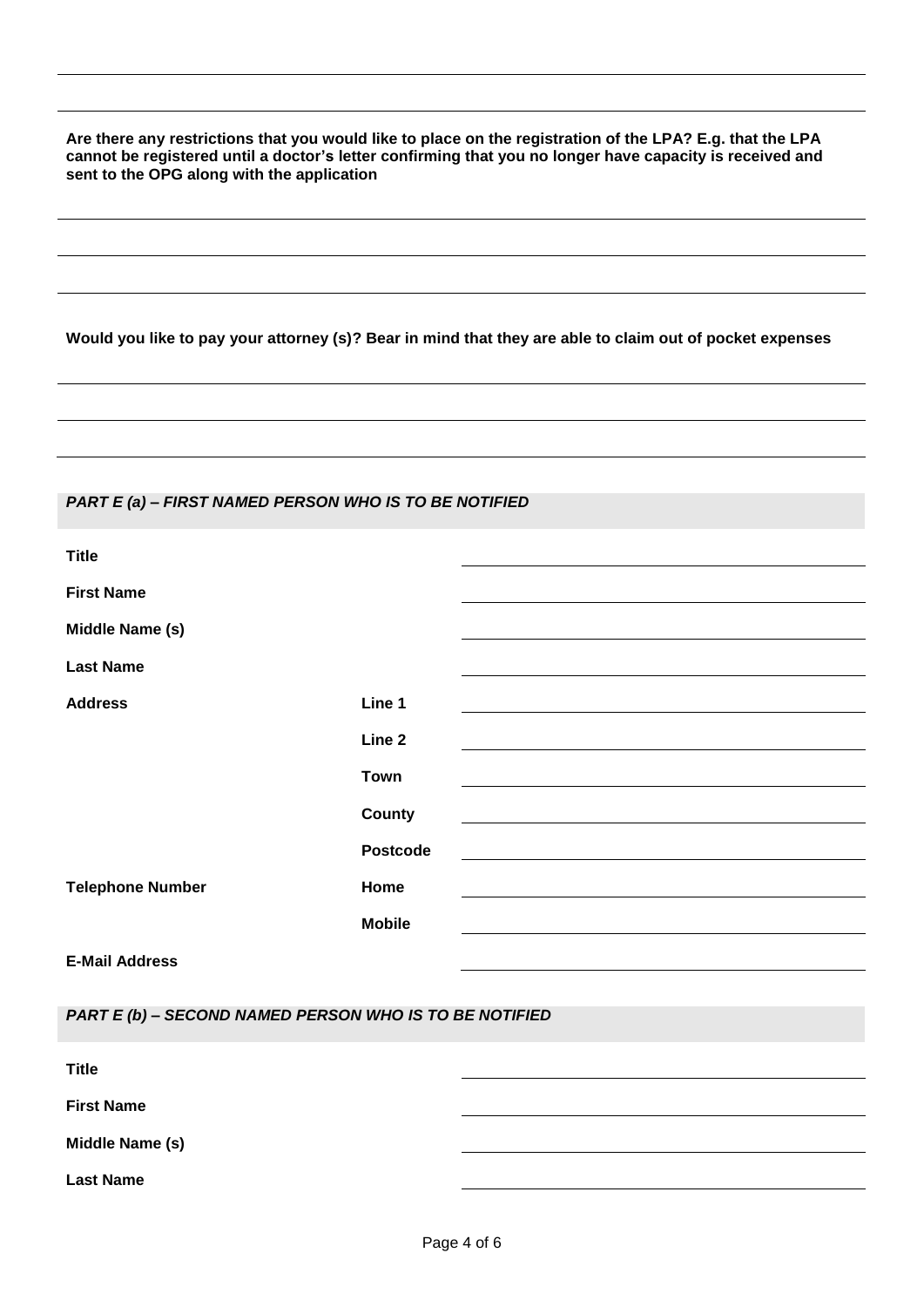**Are there any restrictions that you would like to place on the registration of the LPA? E.g. that the LPA cannot be registered until a doctor's letter confirming that you no longer have capacity is received and sent to the OPG along with the application**

**Would you like to pay your attorney (s)? Bear in mind that they are able to claim out of pocket expenses**

## *PART E (a) – FIRST NAMED PERSON WHO IS TO BE NOTIFIED*

| <b>Title</b>            |                 |
|-------------------------|-----------------|
| <b>First Name</b>       |                 |
| Middle Name (s)         |                 |
| <b>Last Name</b>        |                 |
| <b>Address</b>          | Line 1          |
|                         | Line 2          |
|                         | <b>Town</b>     |
|                         | County          |
|                         | <b>Postcode</b> |
| <b>Telephone Number</b> | Home            |
|                         | <b>Mobile</b>   |
| <b>E-Mail Address</b>   |                 |

*PART E (b) – SECOND NAMED PERSON WHO IS TO BE NOTIFIED*

| <b>Title</b>      |  |
|-------------------|--|
| <b>First Name</b> |  |
| Middle Name (s)   |  |
| <b>Last Name</b>  |  |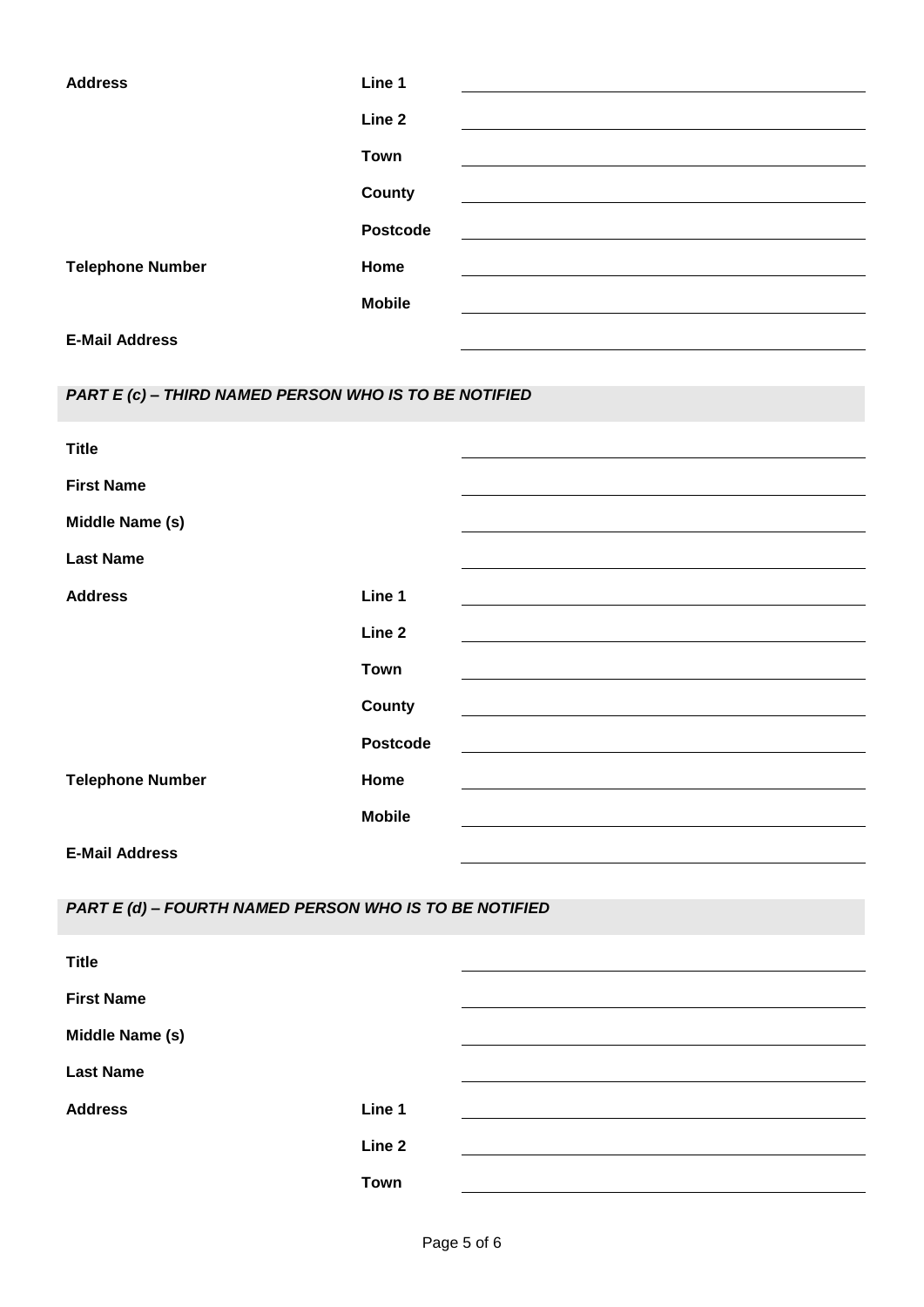| <b>Address</b>          | Line 1        |
|-------------------------|---------------|
|                         |               |
|                         | Line 2        |
|                         | <b>Town</b>   |
|                         |               |
|                         | County        |
|                         | Postcode      |
|                         |               |
| <b>Telephone Number</b> | Home          |
|                         | <b>Mobile</b> |
| <b>E-Mail Address</b>   |               |
|                         |               |
|                         |               |

*PART E (c) – THIRD NAMED PERSON WHO IS TO BE NOTIFIED*

| <b>Title</b>            |                   |
|-------------------------|-------------------|
| <b>First Name</b>       |                   |
| Middle Name (s)         |                   |
| <b>Last Name</b>        |                   |
| <b>Address</b>          | Line 1            |
|                         | Line <sub>2</sub> |
|                         | <b>Town</b>       |
|                         | <b>County</b>     |
|                         | <b>Postcode</b>   |
| <b>Telephone Number</b> | Home              |
|                         | <b>Mobile</b>     |
| <b>E-Mail Address</b>   |                   |

*PART E (d) – FOURTH NAMED PERSON WHO IS TO BE NOTIFIED*

| <b>Title</b>      |             |  |
|-------------------|-------------|--|
| <b>First Name</b> |             |  |
| Middle Name (s)   |             |  |
| <b>Last Name</b>  |             |  |
| <b>Address</b>    | Line 1      |  |
|                   | Line 2      |  |
|                   | <b>Town</b> |  |